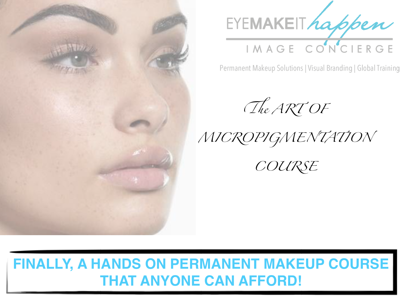



Permanent Makeup Solutions | Visual Branding | Global Training

T*e ART OF*

*MICROPIGMENTATION*

*COURSE*

### **FINALLY, A HANDS ON PERMANENT MAKEUP COURSE THAT ANYONE CAN AFFORD!**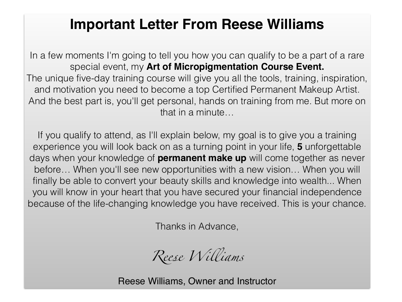#### **Important Letter From Reese Williams**

In a few moments I'm going to tell you how you can qualify to be a part of a rare special event, my **Art of Micropigmentation Course Event.** The unique five-day training course will give you all the tools, training, inspiration, and motivation you need to become a top Certified Permanent Makeup Artist. And the best part is, you'll get personal, hands on training from me. But more on that in a minute…

If you qualify to attend, as I'll explain below, my goal is to give you a training experience you will look back on as a turning point in your life, **5** unforgettable days when your knowledge of **permanent make up** will come together as never before… When you'll see new opportunities with a new vision… When you will finally be able to convert your beauty skills and knowledge into wealth... When you will know in your heart that you have secured your financial independence because of the life-changing knowledge you have received. This is your chance.

Thanks in Advance,

*Re*e*e Wi*l*iams*

Reese Williams, Owner and Instructor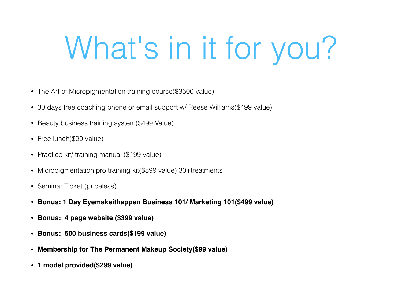## What's in it for you?

- The Art of Micropigmentation training course(\$3500 value)
- 30 days free coaching phone or email support w/ Reese Williams(\$499 value)
- Beauty business training system(\$499 Value)
- Free lunch(\$99 value)
- Practice kit/ training manual (\$199 value)
- Micropigmentation pro training kit (\$599 value) 30+treatments
- Seminar Ticket (priceless)
- **Bonus: 1 Day Eyemakeithappen Business 101/ Marketing 101(\$499 value)**
- **Bonus: 4 page website (\$399 value)**
- **Bonus: 500 business cards(\$199 value)**
- **Membership for The Permanent Makeup Society(\$99 value)**
- **1 model provided(\$299 value)**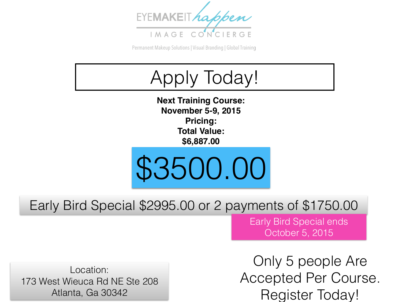

Permanent Makeup Solutions | Visual Branding | Global Training



Early Bird Special \$2995.00 or 2 payments of \$1750.00

Early Bird Special ends October 5, 2015

Location: 173 West Wieuca Rd NE Ste 208 Atlanta, Ga 30342

Only 5 people Are Accepted Per Course. Register Today!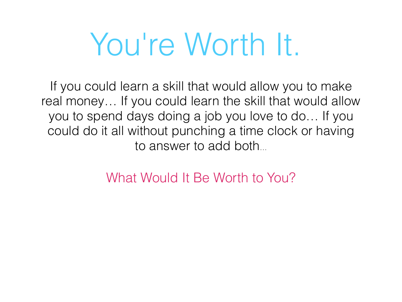## You're Worth It.

If you could learn a skill that would allow you to make real money… If you could learn the skill that would allow you to spend days doing a job you love to do… If you could do it all without punching a time clock or having to answer to add both…

What Would It Be Worth to You?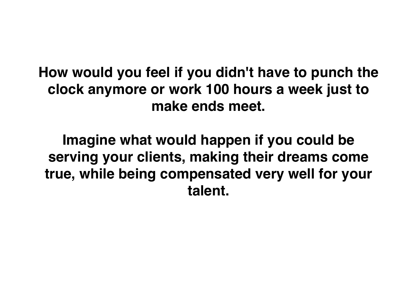**How would you feel if you didn't have to punch the clock anymore or work 100 hours a week just to make ends meet.**

**Imagine what would happen if you could be serving your clients, making their dreams come true, while being compensated very well for your talent.**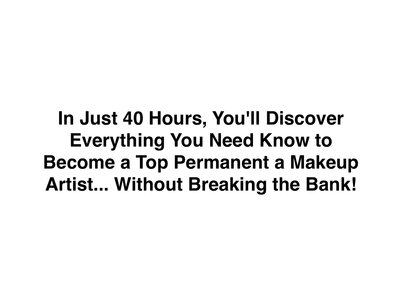**In Just 40 Hours, You'll Discover Everything You Need Know to Become a Top Permanent a Makeup Artist... Without Breaking the Bank!**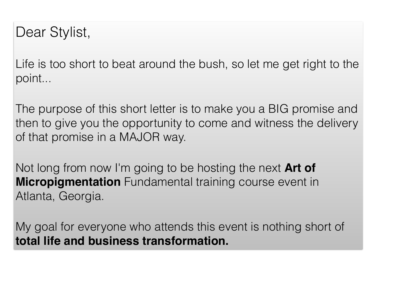#### Dear Stylist,

Life is too short to beat around the bush, so let me get right to the point...

The purpose of this short letter is to make you a BIG promise and then to give you the opportunity to come and witness the delivery of that promise in a MAJOR way.

Not long from now I'm going to be hosting the next **Art of Micropigmentation** Fundamental training course event in Atlanta, Georgia.

My goal for everyone who attends this event is nothing short of **total life and business transformation.**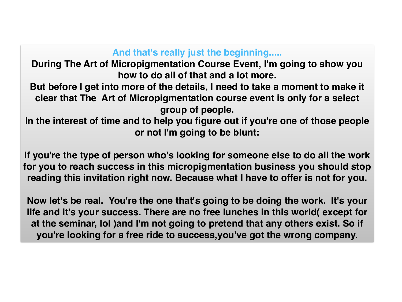#### **And that's really just the beginning.....**

**During The Art of Micropigmentation Course Event, I'm going to show you how to do all of that and a lot more.**

**But before I get into more of the details, I need to take a moment to make it clear that The Art of Micropigmentation course event is only for a select group of people.** 

**In the interest of time and to help you figure out if you're one of those people or not I'm going to be blunt:**

**If you're the type of person who's looking for someone else to do all the work for you to reach success in this micropigmentation business you should stop reading this invitation right now. Because what I have to offer is not for you.**

**Now let's be real. You're the one that's going to be doing the work. It's your life and it's your success. There are no free lunches in this world( except for at the seminar, lol )and I'm not going to pretend that any others exist. So if you're looking for a free ride to success,you've got the wrong company.**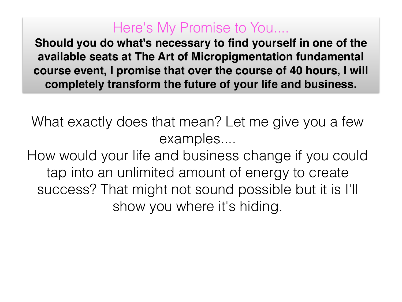#### Here's My Promise to You....

**Should you do what's necessary to find yourself in one of the available seats at The Art of Micropigmentation fundamental course event, I promise that over the course of 40 hours, I will completely transform the future of your life and business.**

What exactly does that mean? Let me give you a few examples....

How would your life and business change if you could tap into an unlimited amount of energy to create success? That might not sound possible but it is I'll show you where it's hiding.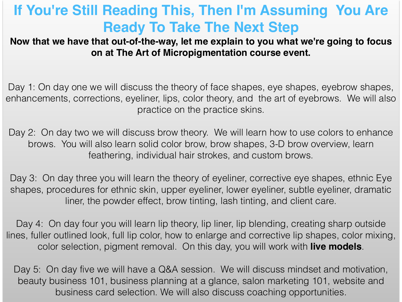### **If You're Still Reading This, Then I'm Assuming You Are Ready To Take The Next Step**

**Now that we have that out-of-the-way, let me explain to you what we're going to focus on at The Art of Micropigmentation course event.**

Day 1: On day one we will discuss the theory of face shapes, eye shapes, eyebrow shapes, enhancements, corrections, eyeliner, lips, color theory, and the art of eyebrows. We will also practice on the practice skins.

Day 2: On day two we will discuss brow theory. We will learn how to use colors to enhance brows. You will also learn solid color brow, brow shapes, 3-D brow overview, learn feathering, individual hair strokes, and custom brows.

Day 3: On day three you will learn the theory of eyeliner, corrective eye shapes, ethnic Eye shapes, procedures for ethnic skin, upper eyeliner, lower eyeliner, subtle eyeliner, dramatic liner, the powder effect, brow tinting, lash tinting, and client care.

Day 4: On day four you will learn lip theory, lip liner, lip blending, creating sharp outside lines, fuller outlined look, full lip color, how to enlarge and corrective lip shapes, color mixing, color selection, pigment removal. On this day, you will work with **live models**.

Day 5: On day five we will have a Q&A session. We will discuss mindset and motivation, beauty business 101, business planning at a glance, salon marketing 101, website and business card selection. We will also discuss coaching opportunities.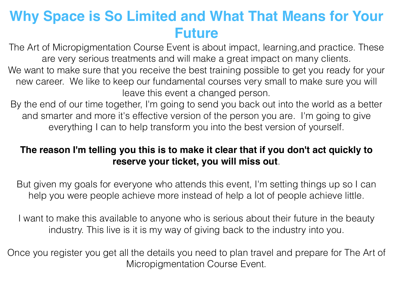### **Why Space is So Limited and What That Means for Your Future**

The Art of Micropigmentation Course Event is about impact, learning,and practice. These are very serious treatments and will make a great impact on many clients.

We want to make sure that you receive the best training possible to get you ready for your new career. We like to keep our fundamental courses very small to make sure you will leave this event a changed person.

By the end of our time together, I'm going to send you back out into the world as a better and smarter and more it's effective version of the person you are. I'm going to give everything I can to help transform you into the best version of yourself.

#### **The reason I'm telling you this is to make it clear that if you don't act quickly to reserve your ticket, you will miss out**.

But given my goals for everyone who attends this event, I'm setting things up so I can help you were people achieve more instead of help a lot of people achieve little.

I want to make this available to anyone who is serious about their future in the beauty industry. This live is it is my way of giving back to the industry into you.

Once you register you get all the details you need to plan travel and prepare for The Art of Micropigmentation Course Event.